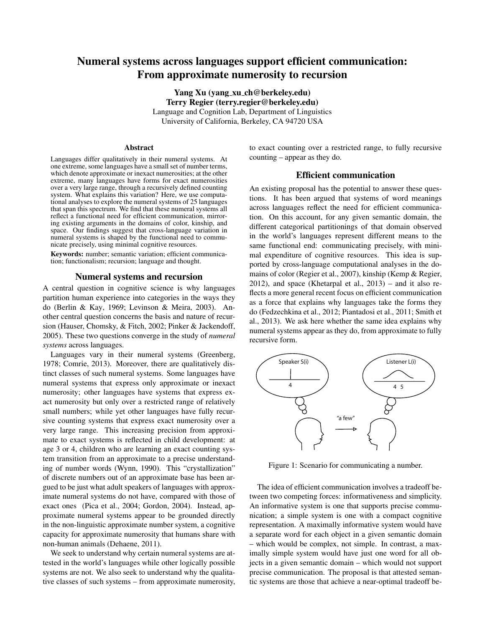# Numeral systems across languages support efficient communication: From approximate numerosity to recursion

Yang Xu (yang xu ch@berkeley.edu) Terry Regier (terry.regier@berkeley.edu) Language and Cognition Lab, Department of Linguistics University of California, Berkeley, CA 94720 USA

#### Abstract

Languages differ qualitatively in their numeral systems. At one extreme, some languages have a small set of number terms, which denote approximate or inexact numerosities; at the other extreme, many languages have forms for exact numerosities over a very large range, through a recursively defined counting system. What explains this variation? Here, we use computational analyses to explore the numeral systems of 25 languages that span this spectrum. We find that these numeral systems all reflect a functional need for efficient communication, mirroring existing arguments in the domains of color, kinship, and space. Our findings suggest that cross-language variation in numeral systems is shaped by the functional need to communicate precisely, using minimal cognitive resources.

Keywords: number; semantic variation; efficient communication; functionalism; recursion; language and thought.

#### Numeral systems and recursion

A central question in cognitive science is why languages partition human experience into categories in the ways they do (Berlin & Kay, 1969; Levinson & Meira, 2003). Another central question concerns the basis and nature of recursion (Hauser, Chomsky, & Fitch, 2002; Pinker & Jackendoff, 2005). These two questions converge in the study of *numeral systems* across languages.

Languages vary in their numeral systems (Greenberg, 1978; Comrie, 2013). Moreover, there are qualitatively distinct classes of such numeral systems. Some languages have numeral systems that express only approximate or inexact numerosity; other languages have systems that express exact numerosity but only over a restricted range of relatively small numbers; while yet other languages have fully recursive counting systems that express exact numerosity over a very large range. This increasing precision from approximate to exact systems is reflected in child development: at age 3 or 4, children who are learning an exact counting system transition from an approximate to a precise understanding of number words (Wynn, 1990). This "crystallization" of discrete numbers out of an approximate base has been argued to be just what adult speakers of languages with approximate numeral systems do not have, compared with those of exact ones (Pica et al., 2004; Gordon, 2004). Instead, approximate numeral systems appear to be grounded directly in the non-linguistic approximate number system, a cognitive capacity for approximate numerosity that humans share with non-human animals (Dehaene, 2011).

We seek to understand why certain numeral systems are attested in the world's languages while other logically possible systems are not. We also seek to understand why the qualitative classes of such systems – from approximate numerosity, to exact counting over a restricted range, to fully recursive counting – appear as they do.

## Efficient communication

An existing proposal has the potential to answer these questions. It has been argued that systems of word meanings across languages reflect the need for efficient communication. On this account, for any given semantic domain, the different categorical partitionings of that domain observed in the world's languages represent different means to the same functional end: communicating precisely, with minimal expenditure of cognitive resources. This idea is supported by cross-language computational analyses in the domains of color (Regier et al., 2007), kinship (Kemp & Regier, 2012), and space (Khetarpal et al., 2013) – and it also reflects a more general recent focus on efficient communication as a force that explains why languages take the forms they do (Fedzechkina et al., 2012; Piantadosi et al., 2011; Smith et al., 2013). We ask here whether the same idea explains why numeral systems appear as they do, from approximate to fully recursive form.



Figure 1: Scenario for communicating a number.

The idea of efficient communication involves a tradeoff between two competing forces: informativeness and simplicity. An informative system is one that supports precise communication; a simple system is one with a compact cognitive representation. A maximally informative system would have a separate word for each object in a given semantic domain – which would be complex, not simple. In contrast, a maximally simple system would have just one word for all objects in a given semantic domain – which would not support precise communication. The proposal is that attested semantic systems are those that achieve a near-optimal tradeoff be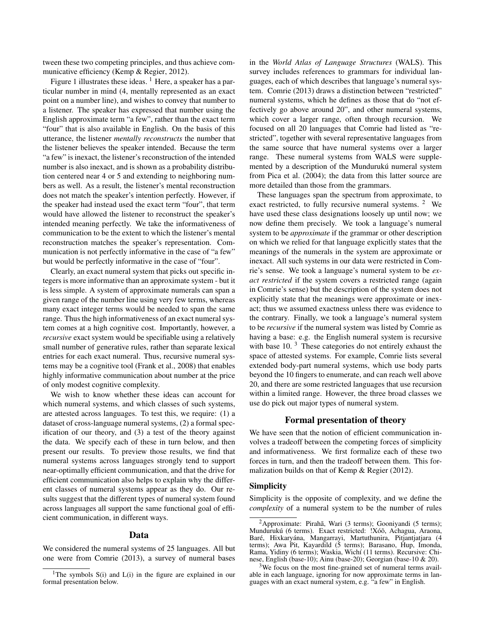tween these two competing principles, and thus achieve communicative efficiency (Kemp & Regier, 2012).

Figure 1 illustrates these ideas.  $\frac{1}{1}$  Here, a speaker has a particular number in mind (4, mentally represented as an exact point on a number line), and wishes to convey that number to a listener. The speaker has expressed that number using the English approximate term "a few", rather than the exact term "four" that is also available in English. On the basis of this utterance, the listener *mentally reconstructs* the number that the listener believes the speaker intended. Because the term "a few" is inexact, the listener's reconstruction of the intended number is also inexact, and is shown as a probability distribution centered near 4 or 5 and extending to neighboring numbers as well. As a result, the listener's mental reconstruction does not match the speaker's intention perfectly. However, if the speaker had instead used the exact term "four", that term would have allowed the listener to reconstruct the speaker's intended meaning perfectly. We take the informativeness of communication to be the extent to which the listener's mental reconstruction matches the speaker's representation. Communication is not perfectly informative in the case of "a few" but would be perfectly informative in the case of "four".

Clearly, an exact numeral system that picks out specific integers is more informative than an approximate system - but it is less simple. A system of approximate numerals can span a given range of the number line using very few terms, whereas many exact integer terms would be needed to span the same range. Thus the high informativeness of an exact numeral system comes at a high cognitive cost. Importantly, however, a *recursive* exact system would be specifiable using a relatively small number of generative rules, rather than separate lexical entries for each exact numeral. Thus, recursive numeral systems may be a cognitive tool (Frank et al., 2008) that enables highly informative communication about number at the price of only modest cognitive complexity.

We wish to know whether these ideas can account for which numeral systems, and which classes of such systems, are attested across languages. To test this, we require: (1) a dataset of cross-language numeral systems, (2) a formal specification of our theory, and (3) a test of the theory against the data. We specify each of these in turn below, and then present our results. To preview those results, we find that numeral systems across languages strongly tend to support near-optimally efficient communication, and that the drive for efficient communication also helps to explain why the different classes of numeral systems appear as they do. Our results suggest that the different types of numeral system found across languages all support the same functional goal of efficient communication, in different ways.

#### Data

We considered the numeral systems of 25 languages. All but one were from Comrie (2013), a survey of numeral bases in the *World Atlas of Language Structures* (WALS). This survey includes references to grammars for individual languages, each of which describes that language's numeral system. Comrie (2013) draws a distinction between "restricted" numeral systems, which he defines as those that do "not effectively go above around 20", and other numeral systems, which cover a larger range, often through recursion. We focused on all 20 languages that Comrie had listed as "restricted", together with several representative languages from the same source that have numeral systems over a larger range. These numeral systems from WALS were supplemented by a description of the Mundurukú numeral system from Pica et al. (2004); the data from this latter source are more detailed than those from the grammars.

These languages span the spectrum from approximate, to exact restricted, to fully recursive numeral systems. <sup>2</sup> We have used these class designations loosely up until now; we now define them precisely. We took a language's numeral system to be *approximate* if the grammar or other description on which we relied for that language explicitly states that the meanings of the numerals in the system are approximate or inexact. All such systems in our data were restricted in Comrie's sense. We took a language's numeral system to be *exact restricted* if the system covers a restricted range (again in Comrie's sense) but the description of the system does not explicitly state that the meanings were approximate or inexact; thus we assumed exactness unless there was evidence to the contrary. Finally, we took a language's numeral system to be *recursive* if the numeral system was listed by Comrie as having a base: e.g. the English numeral system is recursive with base 10.<sup>3</sup> These categories do not entirely exhaust the space of attested systems. For example, Comrie lists several extended body-part numeral systems, which use body parts beyond the 10 fingers to enumerate, and can reach well above 20, and there are some restricted languages that use recursion within a limited range. However, the three broad classes we use do pick out major types of numeral system.

#### Formal presentation of theory

We have seen that the notion of efficient communication involves a tradeoff between the competing forces of simplicity and informativeness. We first formalize each of these two forces in turn, and then the tradeoff between them. This formalization builds on that of Kemp & Regier (2012).

#### **Simplicity**

Simplicity is the opposite of complexity, and we define the *complexity* of a numeral system to be the number of rules

<sup>&</sup>lt;sup>1</sup>The symbols  $S(i)$  and  $L(i)$  in the figure are explained in our formal presentation below.

<sup>&</sup>lt;sup>2</sup>Approximate: Pirahã, Wari (3 terms); Gooniyandi (5 terms); Mundurukú (6 terms). Exact restricted: !Xóõ, Achagua, Araona, Baré, Hixkaryána, Mangarrayi, Martuthunira, Pitjantjatjara (4 terms); Awa Pit, Kayardild (5 terms); Barasano, Hup, Imonda, Rama, Yidiny (6 terms); Waskia, Wichí (11 terms). Recursive: Chinese, English (base-10); Ainu (base-20); Georgian (base-10 & 20).

<sup>&</sup>lt;sup>3</sup>We focus on the most fine-grained set of numeral terms available in each language, ignoring for now approximate terms in languages with an exact numeral system, e.g. "a few" in English.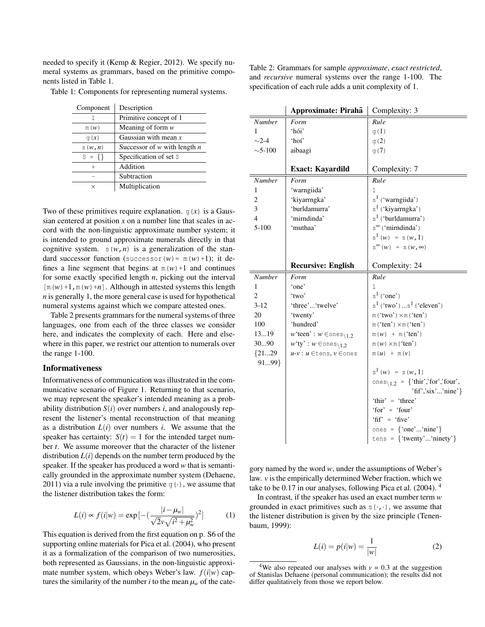needed to specify it (Kemp & Regier, 2012). We specify numeral systems as grammars, based on the primitive components listed in Table 1.

Table 1: Components for representing numeral systems.

| Component   | Description                      |
|-------------|----------------------------------|
| 1           | Primitive concept of 1           |
| m(w)        | Meaning of form $w$              |
| $\sigma(x)$ | Gaussian with mean $x$           |
| s(w,n)      | Successor of $w$ with length $n$ |
| $S = \{\}$  | Specification of set S           |
|             | Addition                         |
|             | Subtraction                      |
| $\times$    | Multiplication                   |

Two of these primitives require explanation.  $g(x)$  is a Gaussian centered at position *x* on a number line that scales in accord with the non-linguistic approximate number system; it is intended to ground approximate numerals directly in that cognitive system.  $s(w, n)$  is a generalization of the standard successor function (successor( $w$ ) =  $m(w) + 1$ ); it defines a line segment that begins at  $m(w) + 1$  and continues for some exactly specified length *n*, picking out the interval  $[m(w) + 1, m(w) + n]$ . Although in attested systems this length *n* is generally 1, the more general case is used for hypothetical numeral systems against which we compare attested ones.

Table 2 presents grammars for the numeral systems of three languages, one from each of the three classes we consider here, and indicates the complexity of each. Here and elsewhere in this paper, we restrict our attention to numerals over the range 1-100.

#### Informativeness

Informativeness of communication was illustrated in the communicative scenario of Figure 1. Returning to that scenario, we may represent the speaker's intended meaning as a probability distribution  $S(i)$  over numbers *i*, and analogously represent the listener's mental reconstruction of that meaning as a distribution  $L(i)$  over numbers *i*. We assume that the speaker has certainty:  $S(t) = 1$  for the intended target number *t*. We assume moreover that the character of the listener distribution  $L(i)$  depends on the number term produced by the speaker. If the speaker has produced a word *w* that is semantically grounded in the approximate number system (Dehaene, 2011) via a rule involving the primitive  $q(\cdot)$ , we assume that the listener distribution takes the form:

$$
L(i) \propto f(i|w) = \exp\left[-\left(\frac{|i - \mu_w|}{\sqrt{2}v\sqrt{i^2 + \mu_w^2}}\right)^2\right] \tag{1}
$$

This equation is derived from the first equation on p. S6 of the supporting online materials for Pica et al. (2004), who present it as a formalization of the comparison of two numerosities, both represented as Gaussians, in the non-linguistic approximate number system, which obeys Weber's law. *f*(*i*|*w*) captures the similarity of the number *i* to the mean  $\mu_w$  of the cateTable 2: Grammars for sample *approximate*, *exact restricted*, and *recursive* numeral systems over the range 1-100. The specification of each rule adds a unit complexity of 1.

|                | <b>Approximate: Pirahã</b>                      | Complexity: 3                                                                    |
|----------------|-------------------------------------------------|----------------------------------------------------------------------------------|
| Number         | Form                                            | Rule                                                                             |
| 1              | 'hói'                                           | g(1)                                                                             |
| $\sim$ 2-4     | 'hoí'                                           | g(2)                                                                             |
| $\sim$ 5-100   | aibaagi                                         | g(7)                                                                             |
|                |                                                 |                                                                                  |
|                | <b>Exact: Kayardild</b>                         | Complexity: 7                                                                    |
| Number         | Form                                            | Rule                                                                             |
| 1              | 'warngiida'                                     | 1                                                                                |
| $\overline{c}$ | 'kiyarrngka'                                    | $s1$ ('warngiida')                                                               |
| 3              | 'burldamurra'                                   | s <sup>1</sup> ('kiyarrngka')                                                    |
| $\overline{4}$ | 'mirndinda'                                     | s <sup>1</sup> ('burldamurra')                                                   |
| $5 - 100$      | 'muthaa'                                        | s <sup>∞</sup> ('mirndinda')                                                     |
|                |                                                 | $s^{1}(w) = s(w, 1)$                                                             |
|                |                                                 | $s^{\infty}(w) = s(w, \infty)$                                                   |
|                | <b>Recursive: English</b>                       | Complexity: 24                                                                   |
|                |                                                 |                                                                                  |
|                |                                                 |                                                                                  |
| <b>Number</b>  | Form                                            | Rule                                                                             |
| 1              | 'one'                                           | 1                                                                                |
| $\overline{c}$ | 'two'                                           | $s^1$ ('one')                                                                    |
| $3 - 12$       | 'three''twelve'                                 | $s^1$ ('two') $s^1$ ('eleven')                                                   |
| 20             | 'twenty'                                        | $m('two') \times m('ten')$                                                       |
| 100            | 'hundred'                                       | $\texttt{m}\left(\text{`ten'}\right) \times \texttt{m}\left(\text{`ten'}\right)$ |
| 1319           | $w$ 'teen': $w \in \text{ones}_{\setminus 1,2}$ | $m(w)$ + $m('ten')$                                                              |
| 3090           | $w^{\prime}$ ty': $w \in \text{ones}_{1,2}$     | $m(w) \times m('ten')$                                                           |
| ${2129}$       | $u$ - $v: u \in$ tens, $v \in$ ones             | $m(u) + m(v)$                                                                    |
| 9199}          |                                                 | $s^{1}(w) = s(w, 1)$                                                             |
|                |                                                 |                                                                                  |
|                |                                                 | ones <sub>\1,2</sub> = {'thir','for','four',<br>'fif','six''nine'}               |
|                |                                                 | 'thir' = 'three'                                                                 |
|                |                                                 | 'for' = 'four'                                                                   |
|                |                                                 | 'fif' = 'five'                                                                   |
|                |                                                 | ones = $\{^{\circ}$ one' $^{\circ}$ nine'}                                       |

gory named by the word *w*, under the assumptions of Weber's law. *v* is the empirically determined Weber fraction, which we take to be 0.17 in our analyses, following Pica et al. (2004). <sup>4</sup>

In contrast, if the speaker has used an exact number term *w* grounded in exact primitives such as  $s(\cdot, \cdot)$ , we assume that the listener distribution is given by the size principle (Tenenbaum, 1999):

$$
L(i) = p(i|w) = \frac{1}{|w|}
$$
 (2)

<sup>&</sup>lt;sup>4</sup>We also repeated our analyses with  $v = 0.3$  at the suggestion of Stanislas Dehaene (personal communication); the results did not differ qualitatively from those we report below.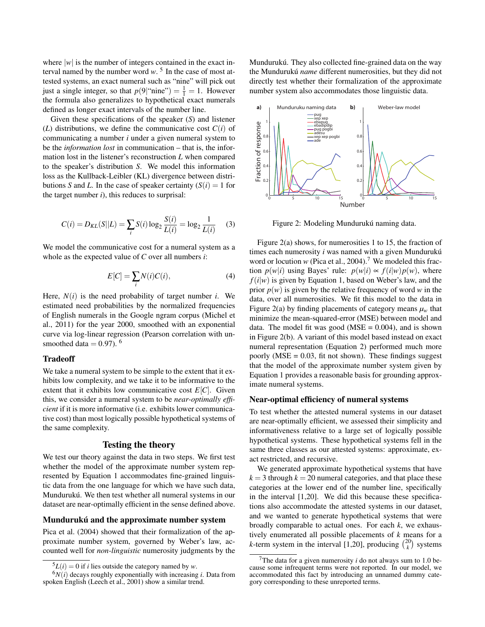where  $|w|$  is the number of integers contained in the exact interval named by the number word *w*. 5 In the case of most attested systems, an exact numeral such as "nine" will pick out just a single integer, so that  $p(9|"\text{nine}") = \frac{1}{1} = 1$ . However the formula also generalizes to hypothetical exact numerals defined as longer exact intervals of the number line.

Given these specifications of the speaker (*S*) and listener (*L*) distributions, we define the communicative cost *C*(*i*) of communicating a number *i* under a given numeral system to be the *information lost* in communication – that is, the information lost in the listener's reconstruction *L* when compared to the speaker's distribution *S*. We model this information loss as the Kullback-Leibler (KL) divergence between distributions *S* and *L*. In the case of speaker certainty  $(S(i) = 1$  for the target number *i*), this reduces to surprisal:

$$
C(i) = D_{KL}(S||L) = \sum_{i} S(i) \log_2 \frac{S(i)}{L(i)} = \log_2 \frac{1}{L(i)} \tag{3}
$$

We model the communicative cost for a numeral system as a whole as the expected value of *C* over all numbers *i*:

$$
E[C] = \sum_{i} N(i)C(i),\tag{4}
$$

Here,  $N(i)$  is the need probability of target number *i*. We estimated need probabilities by the normalized frequencies of English numerals in the Google ngram corpus (Michel et al., 2011) for the year 2000, smoothed with an exponential curve via log-linear regression (Pearson correlation with unsmoothed data  $= 0.97$ ). <sup>6</sup>

#### **Tradeoff**

We take a numeral system to be simple to the extent that it exhibits low complexity, and we take it to be informative to the extent that it exhibits low communicative cost  $E[C]$ . Given this, we consider a numeral system to be *near-optimally efficient* if it is more informative (i.e. exhibits lower communicative cost) than most logically possible hypothetical systems of the same complexity.

### Testing the theory

We test our theory against the data in two steps. We first test whether the model of the approximate number system represented by Equation 1 accommodates fine-grained linguistic data from the one language for which we have such data, Mundurukú. We then test whether all numeral systems in our dataset are near-optimally efficient in the sense defined above.

#### Mundurukú and the approximate number system

Pica et al. (2004) showed that their formalization of the approximate number system, governed by Weber's law, accounted well for *non-linguistic* numerosity judgments by the Mundurukú. They also collected fine-grained data on the way the Mundurukú *name* different numerosities, but they did not directly test whether their formalization of the approximate number system also accommodates those linguistic data.



Figure 2: Modeling Mundurukú naming data.

Figure 2(a) shows, for numerosities 1 to 15, the fraction of times each numerosity *i* was named with a given Mundurukú word or locution  $w$  (Pica et al., 2004).<sup>7</sup> We modeled this fraction  $p(w|i)$  using Bayes' rule:  $p(w|i) \propto f(i|w)p(w)$ , where  $f(i|w)$  is given by Equation 1, based on Weber's law, and the prior  $p(w)$  is given by the relative frequency of word *w* in the data, over all numerosities. We fit this model to the data in Figure 2(a) by finding placements of category means  $\mu_w$  that minimize the mean-squared-error (MSE) between model and data. The model fit was good ( $MSE = 0.004$ ), and is shown in Figure 2(b). A variant of this model based instead on exact numeral representation (Equation 2) performed much more poorly (MSE = 0.03, fit not shown). These findings suggest that the model of the approximate number system given by Equation 1 provides a reasonable basis for grounding approximate numeral systems.

## Near-optimal efficiency of numeral systems

To test whether the attested numeral systems in our dataset are near-optimally efficient, we assessed their simplicity and informativeness relative to a large set of logically possible hypothetical systems. These hypothetical systems fell in the same three classes as our attested systems: approximate, exact restricted, and recursive.

We generated approximate hypothetical systems that have  $k = 3$  through  $k = 20$  numeral categories, and that place these categories at the lower end of the number line, specifically in the interval [1,20]. We did this because these specifications also accommodate the attested systems in our dataset, and we wanted to generate hypothetical systems that were broadly comparable to actual ones. For each *k*, we exhaustively enumerated all possible placements of *k* means for a *k*-term system in the interval [1,20], producing  $\binom{20}{k}$  systems

 ${}^5L(i) = 0$  if *i* lies outside the category named by *w*.

 ${}^6N(i)$  decays roughly exponentially with increasing *i*. Data from spoken English (Leech et al., 2001) show a similar trend.

<sup>&</sup>lt;sup>7</sup>The data for a given numerosity  $i$  do not always sum to 1.0 because some infrequent terms were not reported. In our model, we accommodated this fact by introducing an unnamed dummy category corresponding to these unreported terms.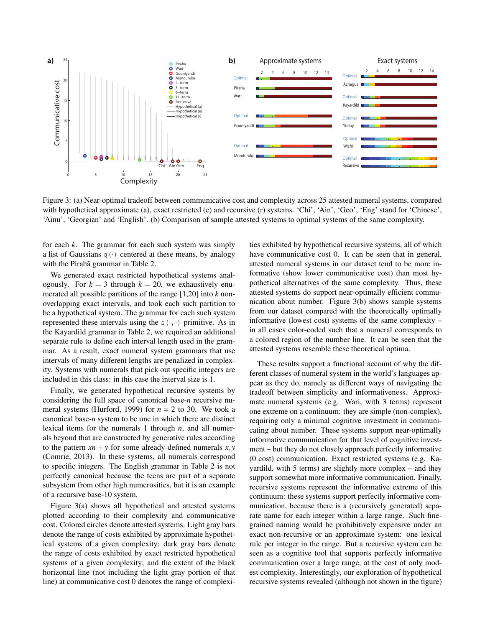

Figure 3: (a) Near-optimal tradeoff between communicative cost and complexity across 25 attested numeral systems, compared with hypothetical approximate (a), exact restricted (e) and recursive (r) systems. 'Chi', 'Ain', 'Geo', 'Eng' stand for 'Chinese', 'Ainu', 'Georgian' and 'English'. (b) Comparison of sample attested systems to optimal systems of the same complexity.

for each *k*. The grammar for each such system was simply a list of Gaussians  $q(\cdot)$  centered at these means, by analogy with the Piraha grammar in Table 2.

We generated exact restricted hypothetical systems analogously. For  $k = 3$  through  $k = 20$ , we exhaustively enumerated all possible partitions of the range [1,20] into *k* nonoverlapping exact intervals, and took each such partition to be a hypothetical system. The grammar for each such system represented these intervals using the  $s(\cdot, \cdot)$  primitive. As in the Kayardild grammar in Table 2, we required an additional separate rule to define each interval length used in the grammar. As a result, exact numeral system grammars that use intervals of many different lengths are penalized in complexity. Systems with numerals that pick out specific integers are included in this class: in this case the interval size is 1.

Finally, we generated hypothetical recursive systems by considering the full space of canonical base-*n* recursive numeral systems (Hurford, 1999) for  $n = 2$  to 30. We took a canonical base-*n* system to be one in which there are distinct lexical items for the numerals 1 through *n*, and all numerals beyond that are constructed by generative rules according to the pattern  $xn + y$  for some already-defined numerals  $x, y$ (Comrie, 2013). In these systems, all numerals correspond to specific integers. The English grammar in Table 2 is not perfectly canonical because the teens are part of a separate subsystem from other high numerosities, but it is an example of a recursive base-10 system.

Figure 3(a) shows all hypothetical and attested systems plotted according to their complexity and communicative cost. Colored circles denote attested systems. Light gray bars denote the range of costs exhibited by approximate hypothetical systems of a given complexity; dark gray bars denote the range of costs exhibited by exact restricted hypothetical systems of a given complexity; and the extent of the black horizontal line (not including the light gray portion of that line) at communicative cost 0 denotes the range of complexities exhibited by hypothetical recursive systems, all of which have communicative cost 0. It can be seen that in general, attested numeral systems in our dataset tend to be more informative (show lower communicative cost) than most hypothetical alternatives of the same complexity. Thus, these attested systems do support near-optimally efficient communication about number. Figure 3(b) shows sample systems from our dataset compared with the theoretically optimally informative (lowest cost) systems of the same complexity – in all cases color-coded such that a numeral corresponds to a colored region of the number line. It can be seen that the attested systems resemble these theoretical optima.

These results support a functional account of why the different classes of numeral system in the world's languages appear as they do, namely as different ways of navigating the tradeoff between simplicity and informativeness. Approximate numeral systems (e.g. Wari, with 3 terms) represent one extreme on a continuum: they are simple (non-complex), requiring only a minimal cognitive investment in communicating about number. These systems support near-optimally informative communication for that level of cognitive investment – but they do not closely approach perfectly informative (0 cost) communication. Exact restricted systems (e.g. Kayardild, with 5 terms) are slightly more complex – and they support somewhat more informative communication. Finally, recursive systems represent the informative extreme of this continuum: these systems support perfectly informative communication, because there is a (recursively generated) separate name for each integer within a large range. Such finegrained naming would be prohibitively expensive under an exact non-recursive or an approximate system: one lexical rule per integer in the range. But a recursive system can be seen as a cognitive tool that supports perfectly informative communication over a large range, at the cost of only modest complexity. Interestingly, our exploration of hypothetical recursive systems revealed (although not shown in the figure)